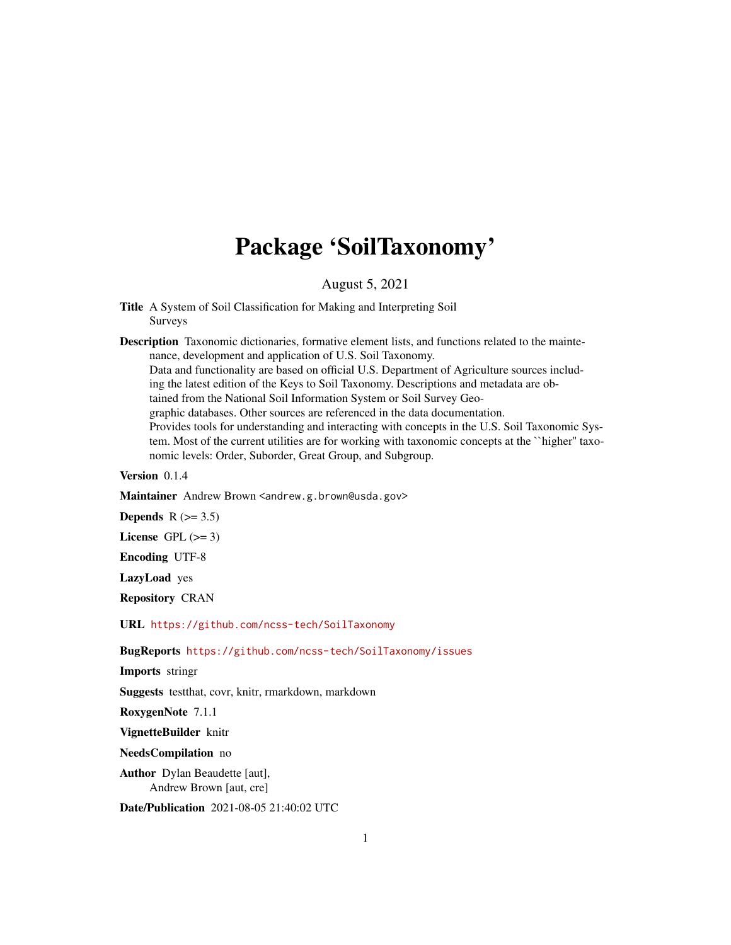# Package 'SoilTaxonomy'

August 5, 2021

Title A System of Soil Classification for Making and Interpreting Soil Surveys

Description Taxonomic dictionaries, formative element lists, and functions related to the maintenance, development and application of U.S. Soil Taxonomy. Data and functionality are based on official U.S. Department of Agriculture sources including the latest edition of the Keys to Soil Taxonomy. Descriptions and metadata are obtained from the National Soil Information System or Soil Survey Geographic databases. Other sources are referenced in the data documentation. Provides tools for understanding and interacting with concepts in the U.S. Soil Taxonomic System. Most of the current utilities are for working with taxonomic concepts at the ``higher'' taxonomic levels: Order, Suborder, Great Group, and Subgroup.

Version 0.1.4

Maintainer Andrew Brown <andrew.g.brown@usda.gov>

Depends  $R$  ( $>= 3.5$ )

License GPL  $(>= 3)$ 

Encoding UTF-8

LazyLoad yes

Repository CRAN

URL <https://github.com/ncss-tech/SoilTaxonomy>

BugReports <https://github.com/ncss-tech/SoilTaxonomy/issues>

Imports stringr

Suggests testthat, covr, knitr, rmarkdown, markdown

RoxygenNote 7.1.1

VignetteBuilder knitr

NeedsCompilation no

Author Dylan Beaudette [aut], Andrew Brown [aut, cre]

Date/Publication 2021-08-05 21:40:02 UTC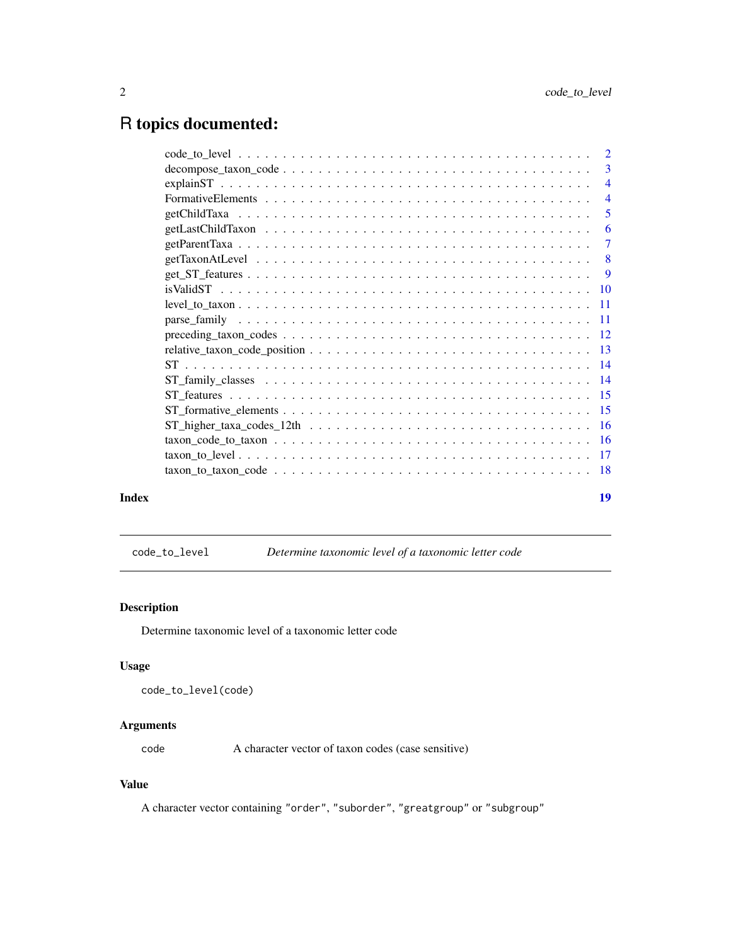## <span id="page-1-0"></span>R topics documented:

|       | $\overline{4}$ |
|-------|----------------|
|       | $\overline{5}$ |
|       |                |
|       |                |
|       |                |
|       |                |
|       |                |
|       |                |
|       |                |
|       |                |
|       |                |
|       |                |
|       |                |
|       |                |
|       |                |
|       |                |
|       |                |
|       |                |
|       |                |
| Index | 19             |

code\_to\_level *Determine taxonomic level of a taxonomic letter code*

### Description

Determine taxonomic level of a taxonomic letter code

#### Usage

```
code_to_level(code)
```
#### Arguments

code A character vector of taxon codes (case sensitive)

#### Value

A character vector containing "order", "suborder", "greatgroup" or "subgroup"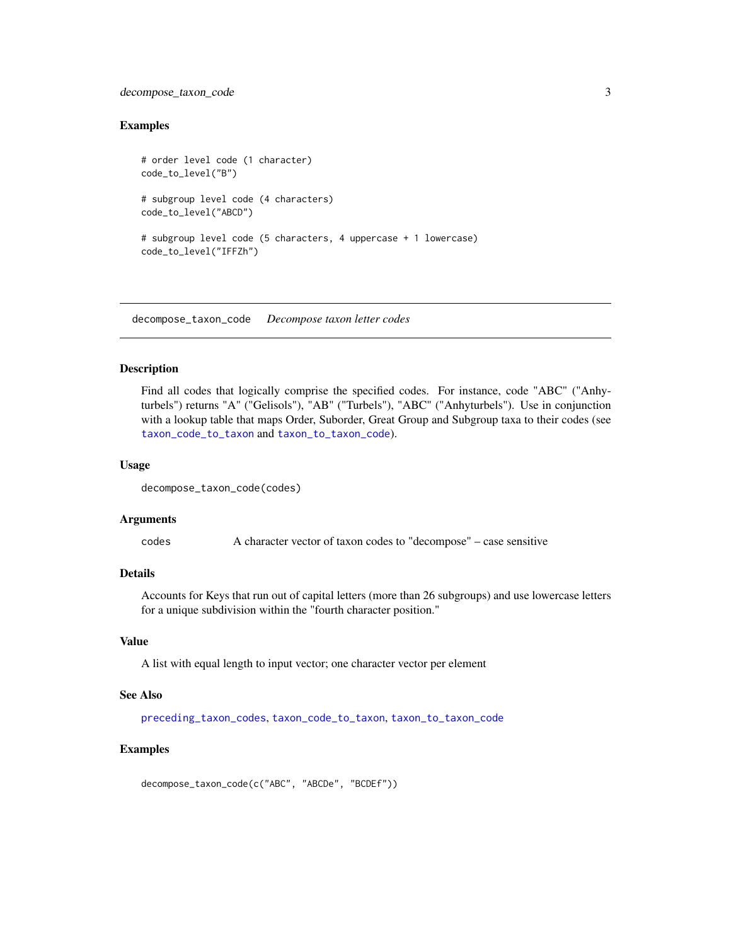#### <span id="page-2-0"></span>decompose\_taxon\_code 3

#### Examples

```
# order level code (1 character)
code_to_level("B")
# subgroup level code (4 characters)
code_to_level("ABCD")
# subgroup level code (5 characters, 4 uppercase + 1 lowercase)
code_to_level("IFFZh")
```
<span id="page-2-1"></span>decompose\_taxon\_code *Decompose taxon letter codes*

#### Description

Find all codes that logically comprise the specified codes. For instance, code "ABC" ("Anhyturbels") returns "A" ("Gelisols"), "AB" ("Turbels"), "ABC" ("Anhyturbels"). Use in conjunction with a lookup table that maps Order, Suborder, Great Group and Subgroup taxa to their codes (see [taxon\\_code\\_to\\_taxon](#page-15-1) and [taxon\\_to\\_taxon\\_code](#page-17-1)).

#### Usage

```
decompose_taxon_code(codes)
```
#### Arguments

codes A character vector of taxon codes to "decompose" – case sensitive

#### Details

Accounts for Keys that run out of capital letters (more than 26 subgroups) and use lowercase letters for a unique subdivision within the "fourth character position."

#### Value

A list with equal length to input vector; one character vector per element

#### See Also

[preceding\\_taxon\\_codes](#page-11-1), [taxon\\_code\\_to\\_taxon](#page-15-1), [taxon\\_to\\_taxon\\_code](#page-17-1)

#### Examples

decompose\_taxon\_code(c("ABC", "ABCDe", "BCDEf"))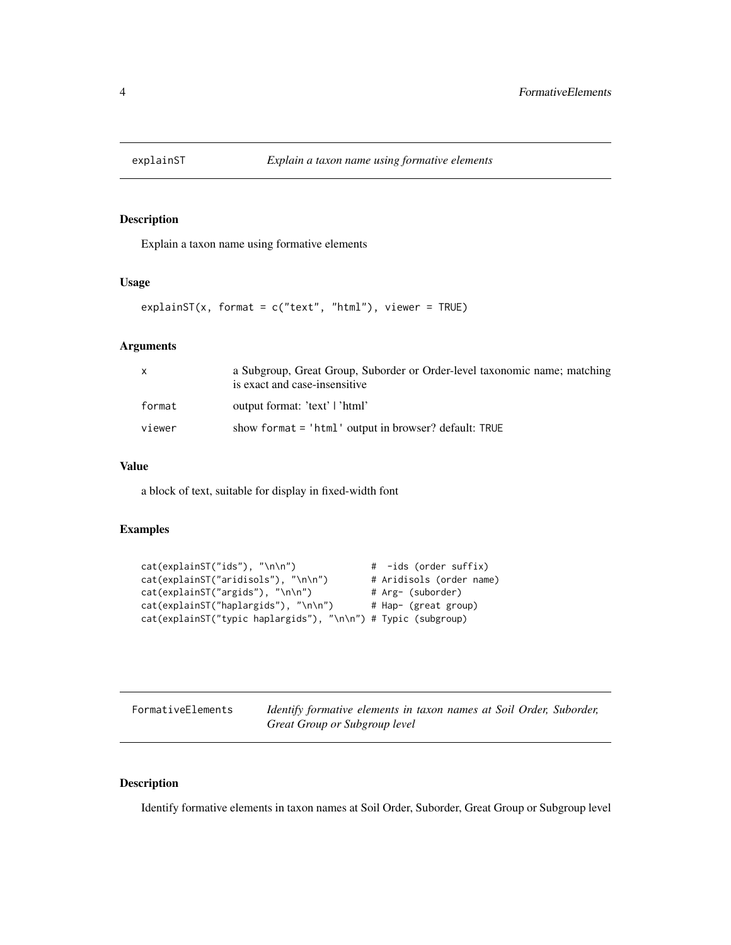<span id="page-3-0"></span>

#### Description

Explain a taxon name using formative elements

#### Usage

```
explainST(x, format = c("text", "html"), viewer = TRUE)
```
#### Arguments

|        | a Subgroup, Great Group, Suborder or Order-level taxonomic name; matching<br>is exact and case-insensitive |
|--------|------------------------------------------------------------------------------------------------------------|
| format | output format: 'text'   'html'                                                                             |
| viewer | show format $=$ 'html' output in browser? default: TRUE                                                    |

#### Value

a block of text, suitable for display in fixed-width font

#### Examples

```
cat(explainST("ids"), "\n\n") # -ids (order suffix)
cat(explainST("aridisols"), "\n\n") # Aridisols (order name)
cat(explainST("argids"), "\n\n") # Arg- (suborder)
cat(explainST("haplargids"), "\n\n") # Hap- (great group)
cat(explainST("typic haplargids"), "\n\n") # Typic (subgroup)
```

| FormativeElements | Identify formative elements in taxon names at Soil Order, Suborder, |
|-------------------|---------------------------------------------------------------------|
|                   | Great Group or Subgroup level                                       |

#### Description

Identify formative elements in taxon names at Soil Order, Suborder, Great Group or Subgroup level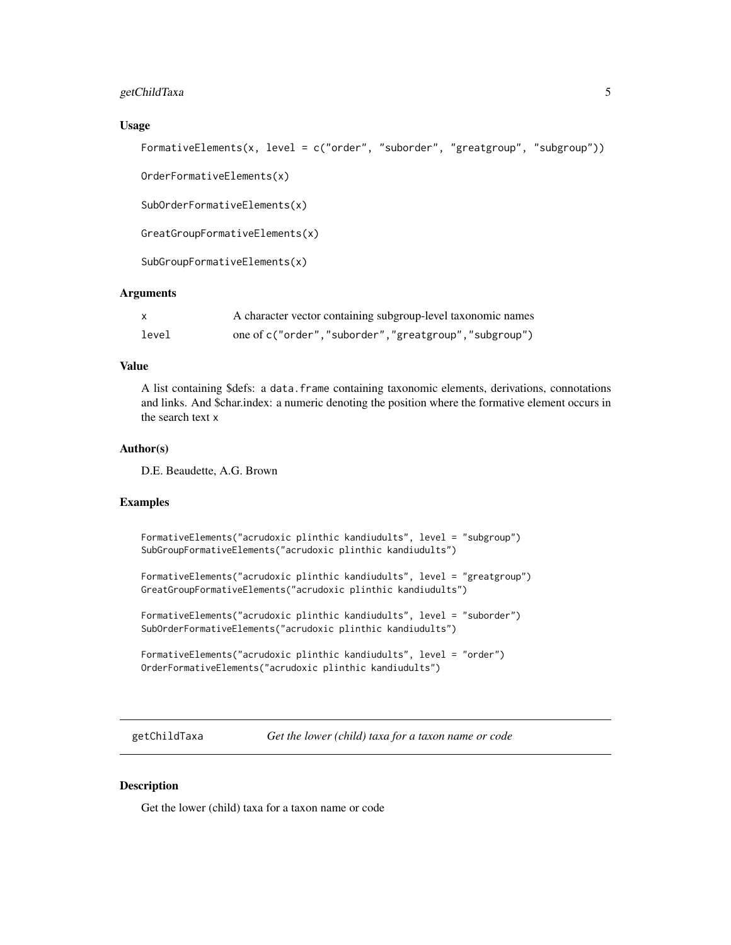#### <span id="page-4-0"></span>getChildTaxa 5

#### Usage

```
FormativeElements(x, level = c("order", "suborder", "greatgroup", "subgroup"))
```
OrderFormativeElements(x)

SubOrderFormativeElements(x)

GreatGroupFormativeElements(x)

SubGroupFormativeElements(x)

#### Arguments

|       | A character vector containing subgroup-level taxonomic names |
|-------|--------------------------------------------------------------|
| level | one of c("order","suborder","greatgroup","subgroup")         |

#### Value

A list containing \$defs: a data.frame containing taxonomic elements, derivations, connotations and links. And \$char.index: a numeric denoting the position where the formative element occurs in the search text x

#### Author(s)

D.E. Beaudette, A.G. Brown

#### Examples

```
FormativeElements("acrudoxic plinthic kandiudults", level = "subgroup")
SubGroupFormativeElements("acrudoxic plinthic kandiudults")
FormativeElements("acrudoxic plinthic kandiudults", level = "greatgroup")
GreatGroupFormativeElements("acrudoxic plinthic kandiudults")
FormativeElements("acrudoxic plinthic kandiudults", level = "suborder")
SubOrderFormativeElements("acrudoxic plinthic kandiudults")
FormativeElements("acrudoxic plinthic kandiudults", level = "order")
OrderFormativeElements("acrudoxic plinthic kandiudults")
```
getChildTaxa *Get the lower (child) taxa for a taxon name or code*

#### Description

Get the lower (child) taxa for a taxon name or code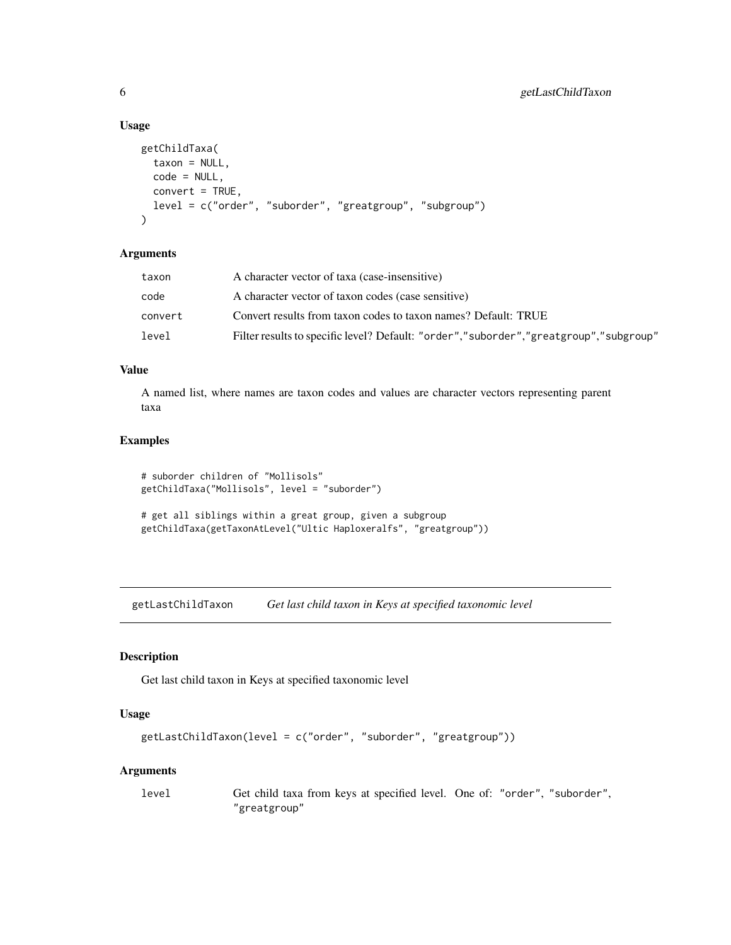#### Usage

```
getChildTaxa(
  taxon = NULL,code = NULL,
 convert = TRUE,level = c("order", "suborder", "greatgroup", "subgroup")
\lambda
```
#### Arguments

| Filter results to specific level? Default: "order","suborder","greatgroup","subgroup" |
|---------------------------------------------------------------------------------------|
|                                                                                       |

#### Value

A named list, where names are taxon codes and values are character vectors representing parent taxa

#### Examples

```
# suborder children of "Mollisols"
getChildTaxa("Mollisols", level = "suborder")
```

```
# get all siblings within a great group, given a subgroup
getChildTaxa(getTaxonAtLevel("Ultic Haploxeralfs", "greatgroup"))
```
getLastChildTaxon *Get last child taxon in Keys at specified taxonomic level*

#### Description

Get last child taxon in Keys at specified taxonomic level

#### Usage

```
getLastChildTaxon(level = c("order", "suborder", "greatgroup"))
```
#### Arguments

```
level Get child taxa from keys at specified level. One of: "order", "suborder",
               "greatgroup"
```
<span id="page-5-0"></span>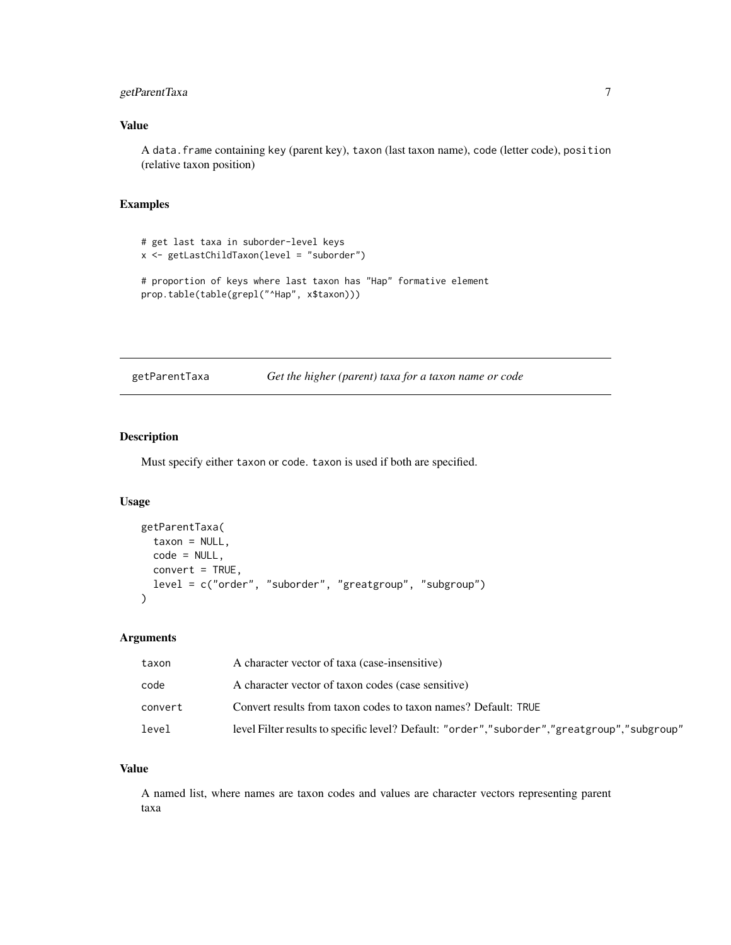#### <span id="page-6-0"></span>getParentTaxa 7

#### Value

A data.frame containing key (parent key), taxon (last taxon name), code (letter code), position (relative taxon position)

#### Examples

```
# get last taxa in suborder-level keys
x <- getLastChildTaxon(level = "suborder")
# proportion of keys where last taxon has "Hap" formative element
prop.table(table(grepl("^Hap", x$taxon)))
```

| getParentTaxa | Get the higher (parent) taxa for a taxon name or code |  |  |  |  |
|---------------|-------------------------------------------------------|--|--|--|--|
|---------------|-------------------------------------------------------|--|--|--|--|

#### Description

Must specify either taxon or code. taxon is used if both are specified.

#### Usage

```
getParentTaxa(
  taxon = NULL,
  code = NULL,
  convert = TRUE,
  level = c("order", "suborder", "greatgroup", "subgroup")
)
```
#### Arguments

| taxon   | A character vector of taxa (case-insensitive)                                               |
|---------|---------------------------------------------------------------------------------------------|
| code    | A character vector of taxon codes (case sensitive)                                          |
| convert | Convert results from taxon codes to taxon names? Default: TRUE                              |
| level   | level Filter results to specific level? Default: "order","suborder","greatgroup","subgroup" |

#### Value

A named list, where names are taxon codes and values are character vectors representing parent taxa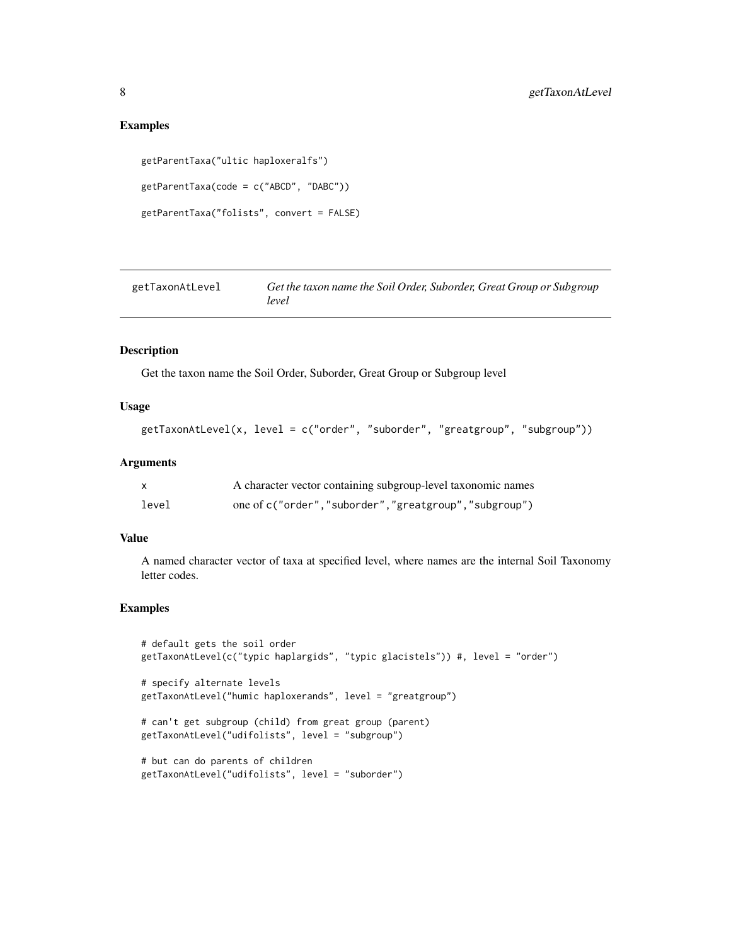#### Examples

```
getParentTaxa("ultic haploxeralfs")
getParentTaxa(code = c("ABCD", "DABC"))
getParentTaxa("folists", convert = FALSE)
```

| getTaxonAtLevel | Get the taxon name the Soil Order, Suborder, Great Group or Subgroup |
|-----------------|----------------------------------------------------------------------|
|                 | level                                                                |

#### Description

Get the taxon name the Soil Order, Suborder, Great Group or Subgroup level

#### Usage

```
getTaxonAtLevel(x, level = c("order", "suborder", "greatgroup", "subgroup"))
```
#### Arguments

|       | A character vector containing subgroup-level taxonomic names |
|-------|--------------------------------------------------------------|
| level | one of c("order","suborder","greatgroup","subgroup")         |

#### Value

A named character vector of taxa at specified level, where names are the internal Soil Taxonomy letter codes.

```
# default gets the soil order
getTaxonAtLevel(c("typic haplargids", "typic glacistels")) #, level = "order")
# specify alternate levels
getTaxonAtLevel("humic haploxerands", level = "greatgroup")
# can't get subgroup (child) from great group (parent)
```

```
getTaxonAtLevel("udifolists", level = "subgroup")
```

```
# but can do parents of children
getTaxonAtLevel("udifolists", level = "suborder")
```
<span id="page-7-0"></span>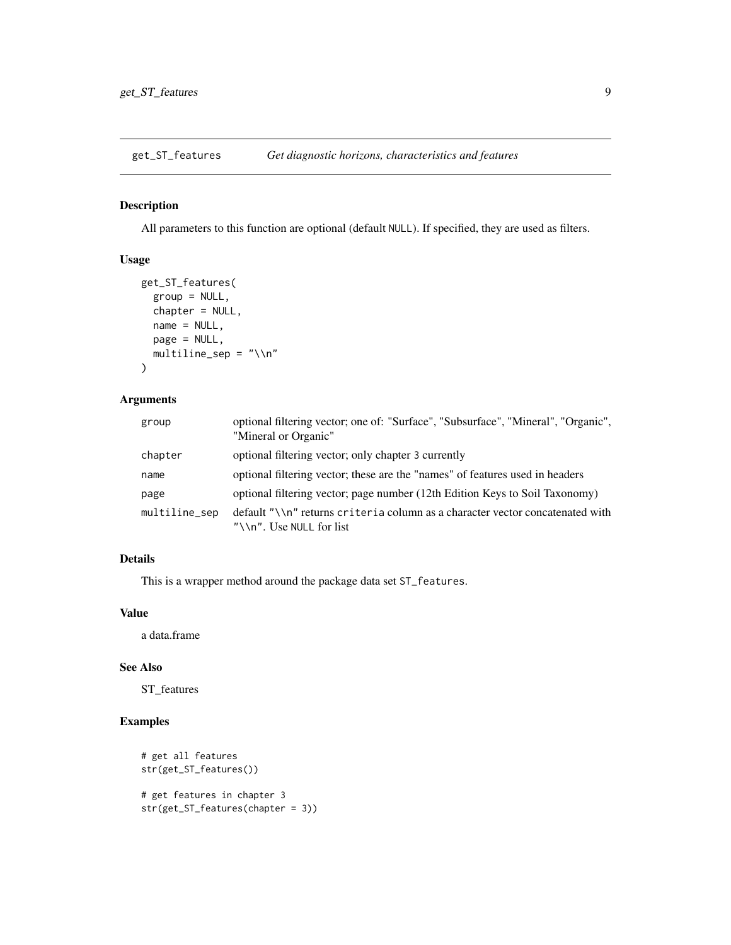<span id="page-8-0"></span>get\_ST\_features *Get diagnostic horizons, characteristics and features*

#### Description

All parameters to this function are optional (default NULL). If specified, they are used as filters.

#### Usage

```
get_ST_features(
  group = NULL,
  chapter = NULL,
 name = NULL,page = NULL,
 multiline_sep = "\\n"
)
```
#### Arguments

| group         | optional filtering vector; one of: "Surface", "Subsurface", "Mineral", "Organic",<br>"Mineral or Organic"     |
|---------------|---------------------------------------------------------------------------------------------------------------|
| chapter       | optional filtering vector; only chapter 3 currently                                                           |
| name          | optional filtering vector; these are the "names" of features used in headers                                  |
| page          | optional filtering vector; page number (12th Edition Keys to Soil Taxonomy)                                   |
| multiline_sep | default "\\n" returns criteria column as a character vector concatenated with<br>" $\ln$ ". Use NULL for list |

## Details

This is a wrapper method around the package data set ST\_features.

#### Value

a data.frame

#### See Also

ST\_features

```
# get all features
str(get_ST_features())
# get features in chapter 3
str(get_ST_features(chapter = 3))
```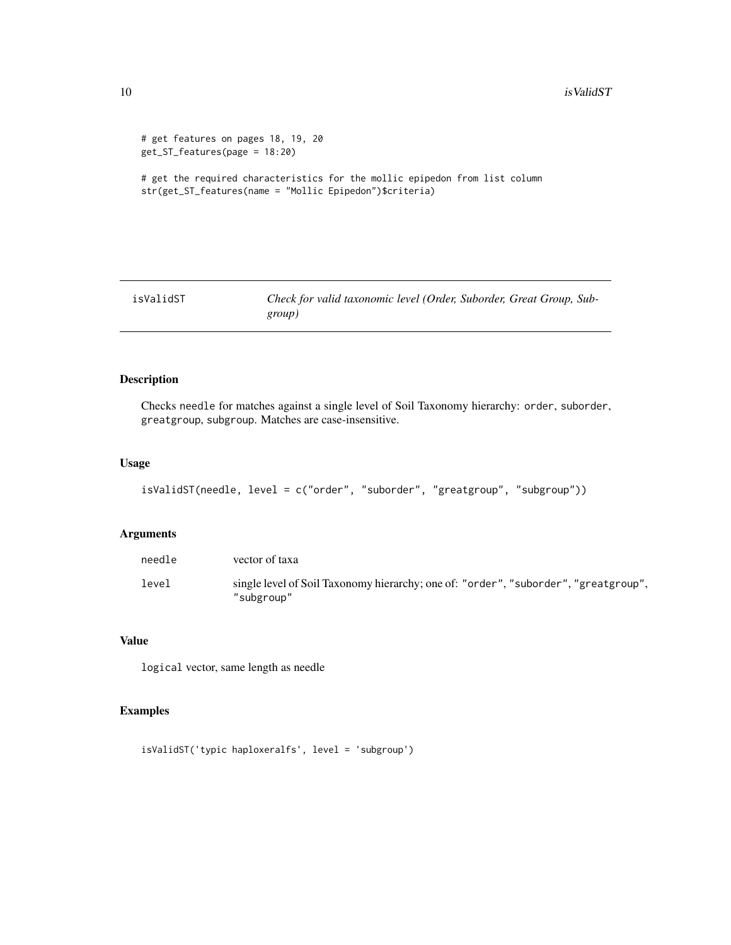```
# get features on pages 18, 19, 20
get_ST_features(page = 18:20)
```
# get the required characteristics for the mollic epipedon from list column str(get\_ST\_features(name = "Mollic Epipedon")\$criteria)

isValidST *Check for valid taxonomic level (Order, Suborder, Great Group, Subgroup)*

#### Description

Checks needle for matches against a single level of Soil Taxonomy hierarchy: order, suborder, greatgroup, subgroup. Matches are case-insensitive.

#### Usage

```
isValidST(needle, level = c("order", "suborder", "greatgroup", "subgroup"))
```
#### Arguments

| needle | vector of taxa                                                                                    |
|--------|---------------------------------------------------------------------------------------------------|
| level  | single level of Soil Taxonomy hierarchy; one of: "order", "suborder", "greatgroup",<br>"subgroup" |

#### Value

logical vector, same length as needle

```
isValidST('typic haploxeralfs', level = 'subgroup')
```
<span id="page-9-0"></span>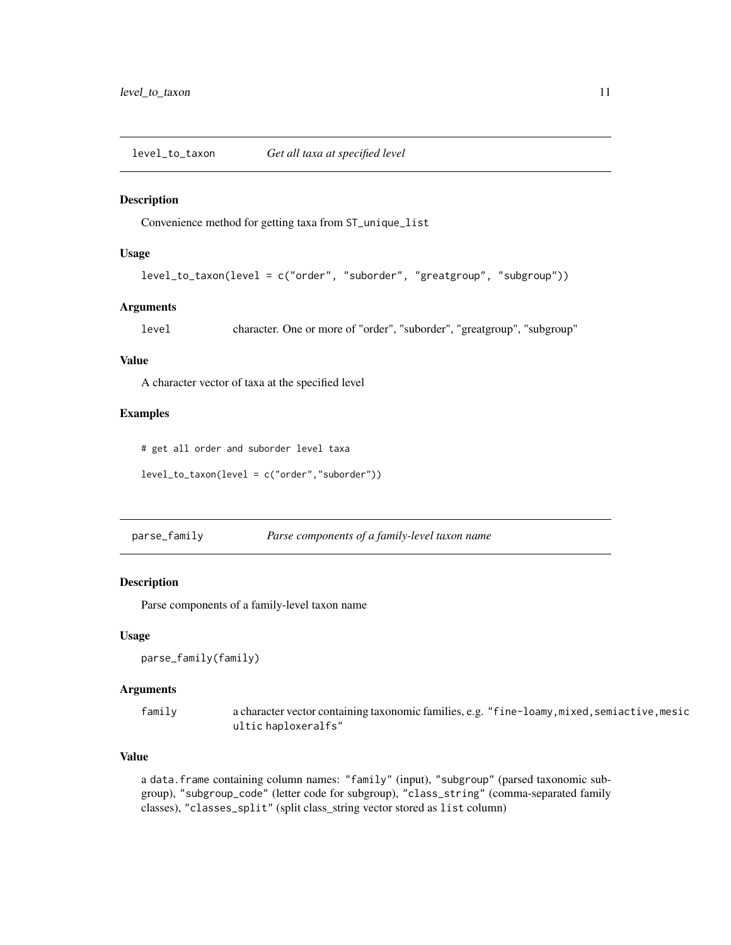<span id="page-10-0"></span>level\_to\_taxon *Get all taxa at specified level*

#### Description

Convenience method for getting taxa from ST\_unique\_list

#### Usage

level\_to\_taxon(level = c("order", "suborder", "greatgroup", "subgroup"))

#### Arguments

level character. One or more of "order", "suborder", "greatgroup", "subgroup"

#### Value

A character vector of taxa at the specified level

#### Examples

# get all order and suborder level taxa

level\_to\_taxon(level = c("order","suborder"))

parse\_family *Parse components of a family-level taxon name*

#### Description

Parse components of a family-level taxon name

#### Usage

```
parse_family(family)
```
#### Arguments

family a character vector containing taxonomic families, e.g. "fine-loamy, mixed, semiactive, mesic ultic haploxeralfs"

#### Value

a data.frame containing column names: "family" (input), "subgroup" (parsed taxonomic subgroup), "subgroup\_code" (letter code for subgroup), "class\_string" (comma-separated family classes), "classes\_split" (split class\_string vector stored as list column)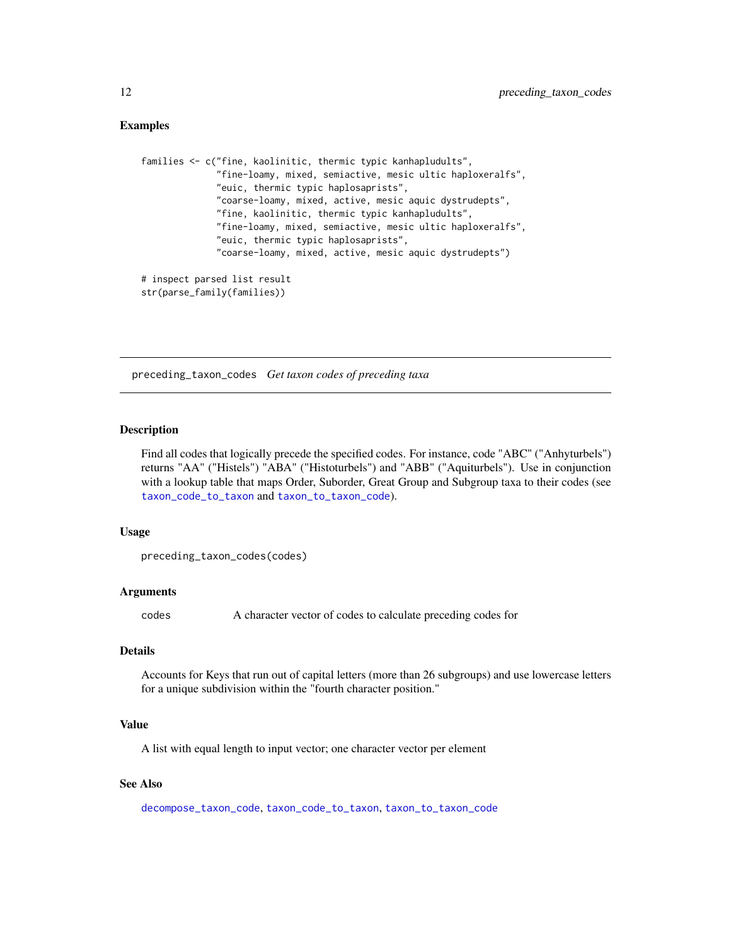#### Examples

```
families <- c("fine, kaolinitic, thermic typic kanhapludults",
              "fine-loamy, mixed, semiactive, mesic ultic haploxeralfs",
              "euic, thermic typic haplosaprists",
              "coarse-loamy, mixed, active, mesic aquic dystrudepts",
              "fine, kaolinitic, thermic typic kanhapludults",
              "fine-loamy, mixed, semiactive, mesic ultic haploxeralfs",
              "euic, thermic typic haplosaprists",
              "coarse-loamy, mixed, active, mesic aquic dystrudepts")
# inspect parsed list result
```
<span id="page-11-1"></span>preceding\_taxon\_codes *Get taxon codes of preceding taxa*

#### Description

Find all codes that logically precede the specified codes. For instance, code "ABC" ("Anhyturbels") returns "AA" ("Histels") "ABA" ("Histoturbels") and "ABB" ("Aquiturbels"). Use in conjunction with a lookup table that maps Order, Suborder, Great Group and Subgroup taxa to their codes (see [taxon\\_code\\_to\\_taxon](#page-15-1) and [taxon\\_to\\_taxon\\_code](#page-17-1)).

#### Usage

```
preceding_taxon_codes(codes)
```
str(parse\_family(families))

#### Arguments

codes A character vector of codes to calculate preceding codes for

#### Details

Accounts for Keys that run out of capital letters (more than 26 subgroups) and use lowercase letters for a unique subdivision within the "fourth character position."

#### Value

A list with equal length to input vector; one character vector per element

#### See Also

[decompose\\_taxon\\_code](#page-2-1), [taxon\\_code\\_to\\_taxon](#page-15-1), [taxon\\_to\\_taxon\\_code](#page-17-1)

<span id="page-11-0"></span>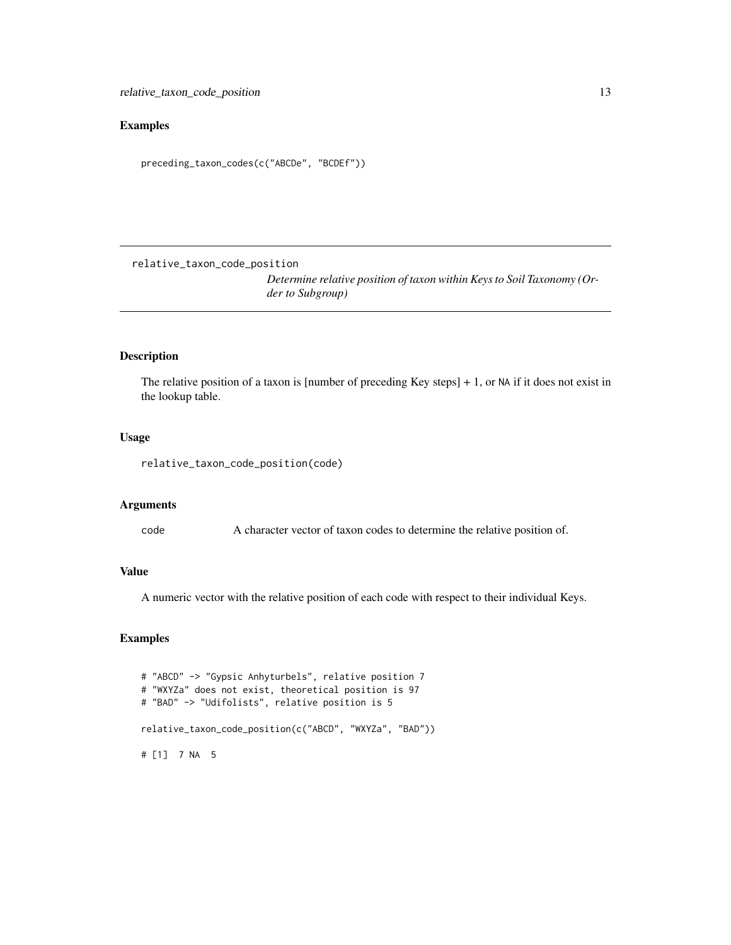#### <span id="page-12-0"></span>Examples

```
preceding_taxon_codes(c("ABCDe", "BCDEf"))
```
relative\_taxon\_code\_position

*Determine relative position of taxon within Keys to Soil Taxonomy (Order to Subgroup)*

#### Description

The relative position of a taxon is [number of preceding Key steps] + 1, or NA if it does not exist in the lookup table.

#### Usage

```
relative_taxon_code_position(code)
```
#### Arguments

code A character vector of taxon codes to determine the relative position of.

#### Value

A numeric vector with the relative position of each code with respect to their individual Keys.

```
# "ABCD" -> "Gypsic Anhyturbels", relative position 7
# "WXYZa" does not exist, theoretical position is 97
# "BAD" -> "Udifolists", relative position is 5
relative_taxon_code_position(c("ABCD", "WXYZa", "BAD"))
# [1] 7 NA 5
```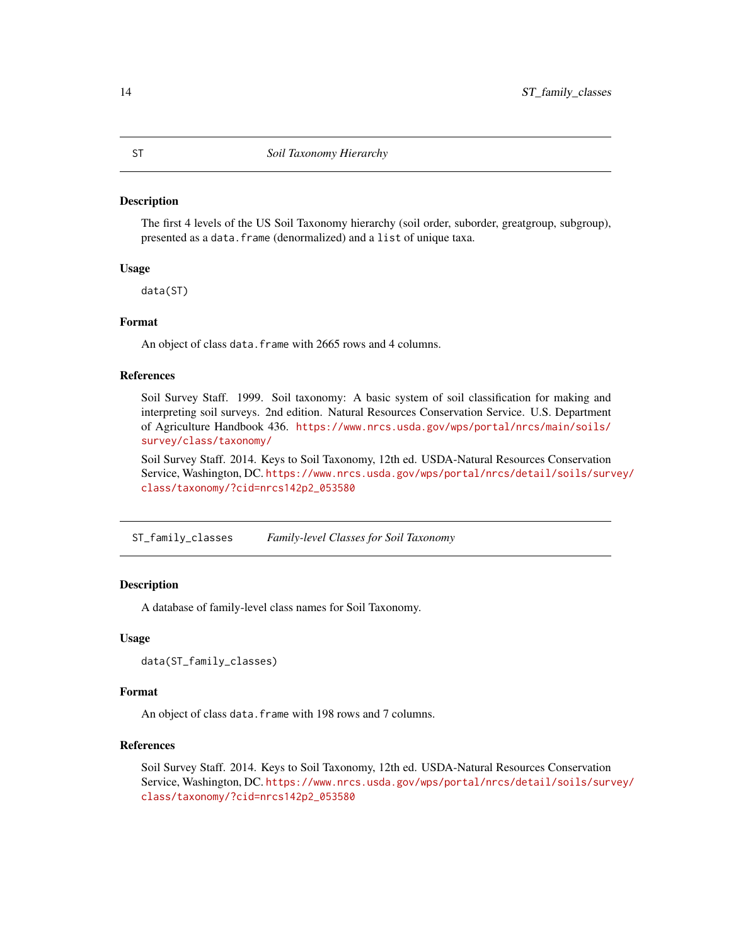#### <span id="page-13-0"></span>Description

The first 4 levels of the US Soil Taxonomy hierarchy (soil order, suborder, greatgroup, subgroup), presented as a data.frame (denormalized) and a list of unique taxa.

#### Usage

data(ST)

#### Format

An object of class data. frame with 2665 rows and 4 columns.

#### References

Soil Survey Staff. 1999. Soil taxonomy: A basic system of soil classification for making and interpreting soil surveys. 2nd edition. Natural Resources Conservation Service. U.S. Department of Agriculture Handbook 436. [https://www.nrcs.usda.gov/wps/portal/nrcs/main/soils/](https://www.nrcs.usda.gov/wps/portal/nrcs/main/soils/survey/class/taxonomy/) [survey/class/taxonomy/](https://www.nrcs.usda.gov/wps/portal/nrcs/main/soils/survey/class/taxonomy/)

Soil Survey Staff. 2014. Keys to Soil Taxonomy, 12th ed. USDA-Natural Resources Conservation Service, Washington, DC. [https://www.nrcs.usda.gov/wps/portal/nrcs/detail/soils/surv](https://www.nrcs.usda.gov/wps/portal/nrcs/detail/soils/survey/class/taxonomy/?cid=nrcs142p2_053580)ey/ [class/taxonomy/?cid=nrcs142p2\\_053580](https://www.nrcs.usda.gov/wps/portal/nrcs/detail/soils/survey/class/taxonomy/?cid=nrcs142p2_053580)

ST\_family\_classes *Family-level Classes for Soil Taxonomy*

#### **Description**

A database of family-level class names for Soil Taxonomy.

#### Usage

```
data(ST_family_classes)
```
#### Format

An object of class data.frame with 198 rows and 7 columns.

#### References

Soil Survey Staff. 2014. Keys to Soil Taxonomy, 12th ed. USDA-Natural Resources Conservation Service, Washington, DC. [https://www.nrcs.usda.gov/wps/portal/nrcs/detail/soils/surv](https://www.nrcs.usda.gov/wps/portal/nrcs/detail/soils/survey/class/taxonomy/?cid=nrcs142p2_053580)ey/ [class/taxonomy/?cid=nrcs142p2\\_053580](https://www.nrcs.usda.gov/wps/portal/nrcs/detail/soils/survey/class/taxonomy/?cid=nrcs142p2_053580)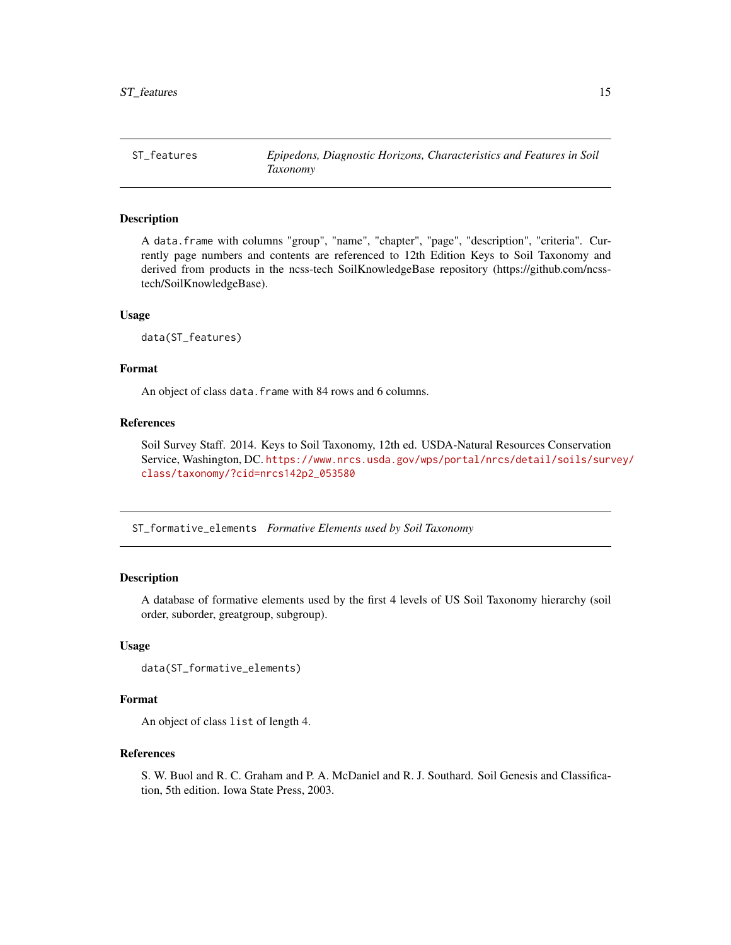<span id="page-14-0"></span>ST\_features *Epipedons, Diagnostic Horizons, Characteristics and Features in Soil Taxonomy*

#### Description

A data.frame with columns "group", "name", "chapter", "page", "description", "criteria". Currently page numbers and contents are referenced to 12th Edition Keys to Soil Taxonomy and derived from products in the ncss-tech SoilKnowledgeBase repository (https://github.com/ncsstech/SoilKnowledgeBase).

#### Usage

data(ST\_features)

#### Format

An object of class data. frame with 84 rows and 6 columns.

#### References

Soil Survey Staff. 2014. Keys to Soil Taxonomy, 12th ed. USDA-Natural Resources Conservation Service, Washington, DC. [https://www.nrcs.usda.gov/wps/portal/nrcs/detail/soils/surv](https://www.nrcs.usda.gov/wps/portal/nrcs/detail/soils/survey/class/taxonomy/?cid=nrcs142p2_053580)ey/ [class/taxonomy/?cid=nrcs142p2\\_053580](https://www.nrcs.usda.gov/wps/portal/nrcs/detail/soils/survey/class/taxonomy/?cid=nrcs142p2_053580)

ST\_formative\_elements *Formative Elements used by Soil Taxonomy*

#### Description

A database of formative elements used by the first 4 levels of US Soil Taxonomy hierarchy (soil order, suborder, greatgroup, subgroup).

#### Usage

```
data(ST_formative_elements)
```
#### Format

An object of class list of length 4.

#### References

S. W. Buol and R. C. Graham and P. A. McDaniel and R. J. Southard. Soil Genesis and Classification, 5th edition. Iowa State Press, 2003.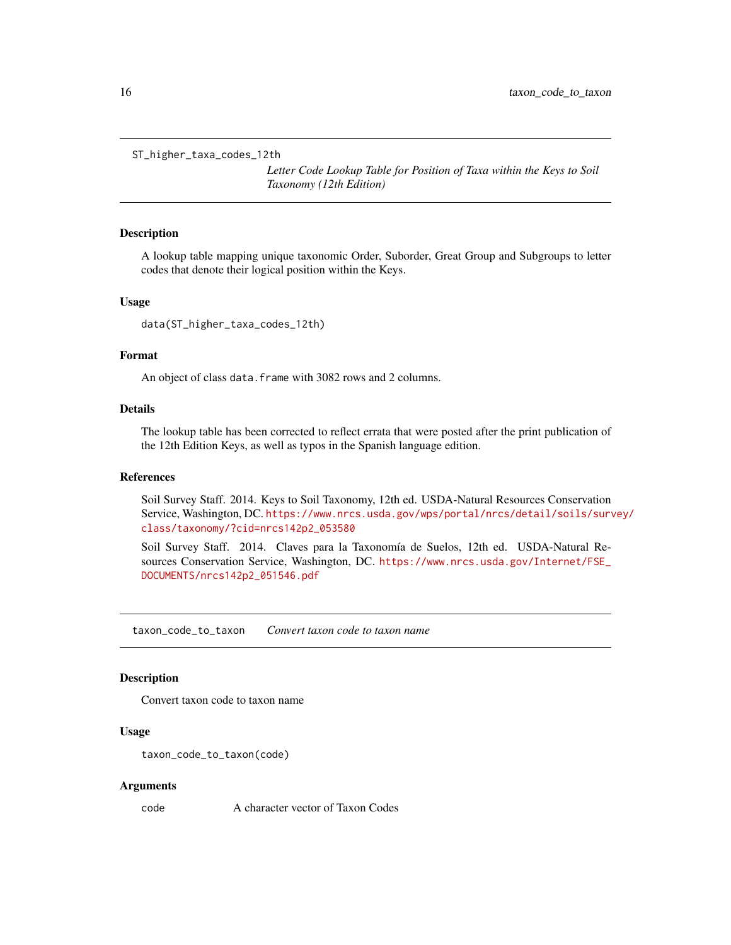```
ST_higher_taxa_codes_12th
```
*Letter Code Lookup Table for Position of Taxa within the Keys to Soil Taxonomy (12th Edition)*

#### Description

A lookup table mapping unique taxonomic Order, Suborder, Great Group and Subgroups to letter codes that denote their logical position within the Keys.

#### Usage

data(ST\_higher\_taxa\_codes\_12th)

#### Format

An object of class data. frame with 3082 rows and 2 columns.

#### Details

The lookup table has been corrected to reflect errata that were posted after the print publication of the 12th Edition Keys, as well as typos in the Spanish language edition.

#### References

Soil Survey Staff. 2014. Keys to Soil Taxonomy, 12th ed. USDA-Natural Resources Conservation Service, Washington, DC. [https://www.nrcs.usda.gov/wps/portal/nrcs/detail/soils/surv](https://www.nrcs.usda.gov/wps/portal/nrcs/detail/soils/survey/class/taxonomy/?cid=nrcs142p2_053580)ey/ [class/taxonomy/?cid=nrcs142p2\\_053580](https://www.nrcs.usda.gov/wps/portal/nrcs/detail/soils/survey/class/taxonomy/?cid=nrcs142p2_053580)

Soil Survey Staff. 2014. Claves para la Taxonomía de Suelos, 12th ed. USDA-Natural Resources Conservation Service, Washington, DC. [https://www.nrcs.usda.gov/Internet/FSE\\_](https://www.nrcs.usda.gov/Internet/FSE_DOCUMENTS/nrcs142p2_051546.pdf) [DOCUMENTS/nrcs142p2\\_051546.pdf](https://www.nrcs.usda.gov/Internet/FSE_DOCUMENTS/nrcs142p2_051546.pdf)

<span id="page-15-1"></span>taxon\_code\_to\_taxon *Convert taxon code to taxon name*

#### Description

Convert taxon code to taxon name

#### Usage

```
taxon_code_to_taxon(code)
```
#### Arguments

code A character vector of Taxon Codes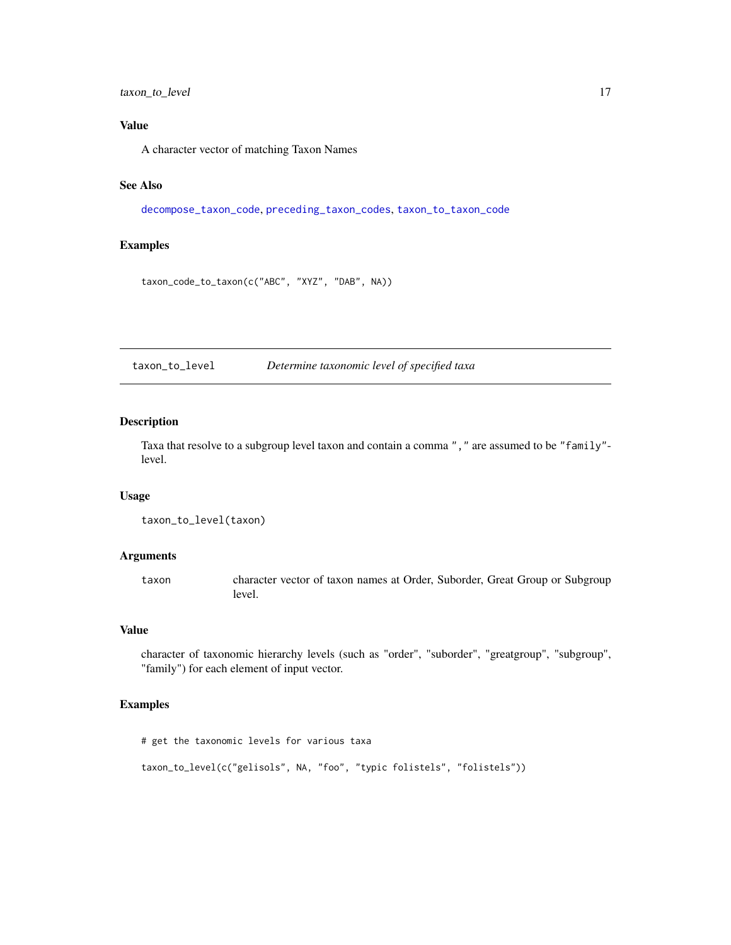#### <span id="page-16-0"></span>taxon\_to\_level 17

#### Value

A character vector of matching Taxon Names

#### See Also

[decompose\\_taxon\\_code](#page-2-1), [preceding\\_taxon\\_codes](#page-11-1), [taxon\\_to\\_taxon\\_code](#page-17-1)

#### Examples

taxon\_code\_to\_taxon(c("ABC", "XYZ", "DAB", NA))

taxon\_to\_level *Determine taxonomic level of specified taxa*

#### Description

Taxa that resolve to a subgroup level taxon and contain a comma "," are assumed to be "family" level.

#### Usage

```
taxon_to_level(taxon)
```
#### Arguments

taxon character vector of taxon names at Order, Suborder, Great Group or Subgroup level.

#### Value

character of taxonomic hierarchy levels (such as "order", "suborder", "greatgroup", "subgroup", "family") for each element of input vector.

#### Examples

# get the taxonomic levels for various taxa

taxon\_to\_level(c("gelisols", NA, "foo", "typic folistels", "folistels"))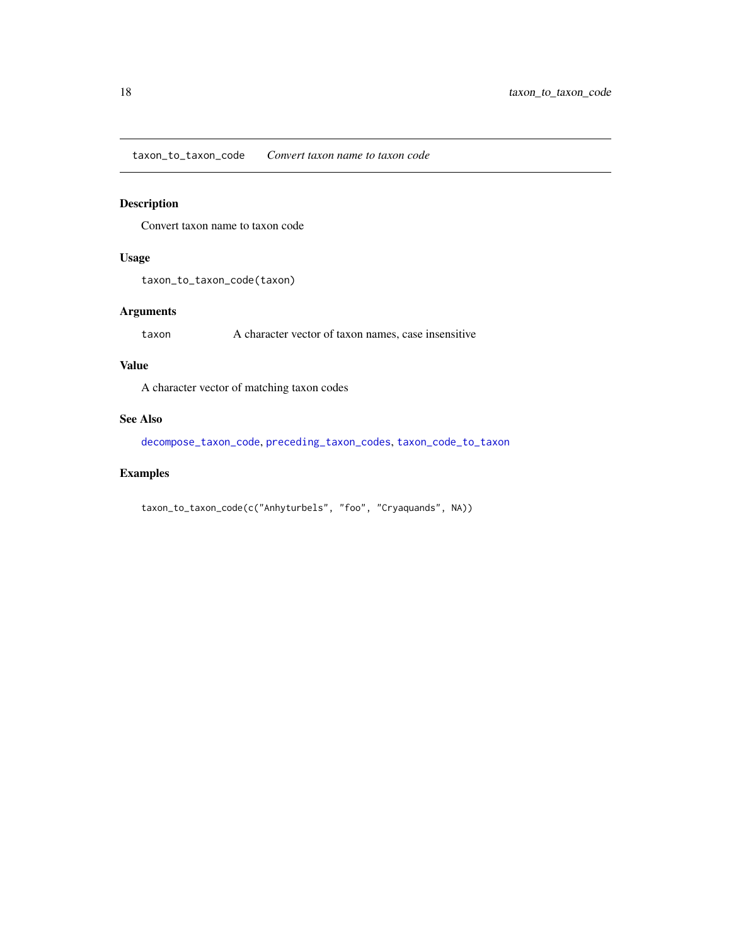<span id="page-17-1"></span><span id="page-17-0"></span>taxon\_to\_taxon\_code *Convert taxon name to taxon code*

#### Description

Convert taxon name to taxon code

#### Usage

taxon\_to\_taxon\_code(taxon)

#### Arguments

taxon A character vector of taxon names, case insensitive

#### Value

A character vector of matching taxon codes

#### See Also

[decompose\\_taxon\\_code](#page-2-1), [preceding\\_taxon\\_codes](#page-11-1), [taxon\\_code\\_to\\_taxon](#page-15-1)

#### Examples

taxon\_to\_taxon\_code(c("Anhyturbels", "foo", "Cryaquands", NA))